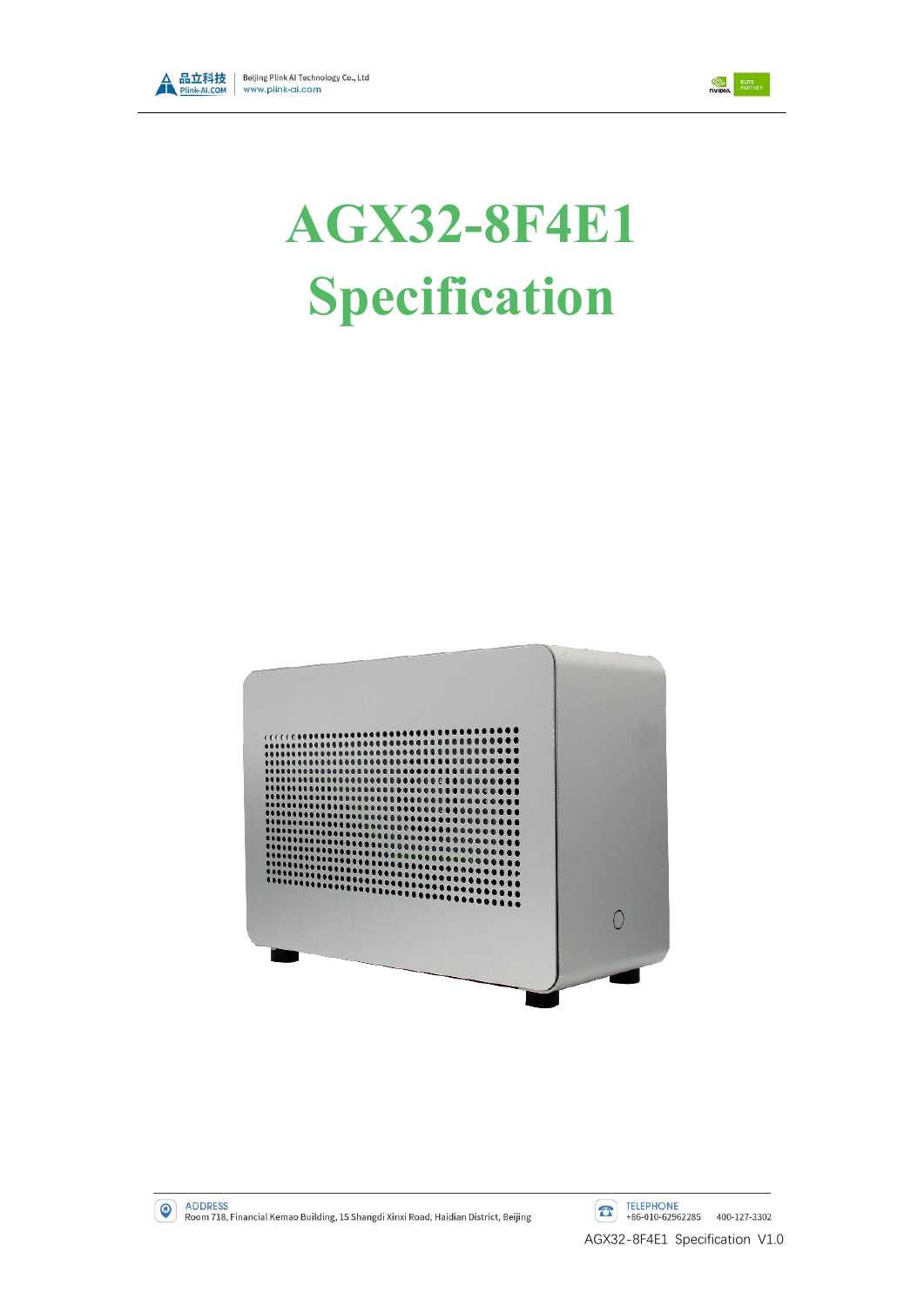



# **AGX32-8F4E1 Specification**

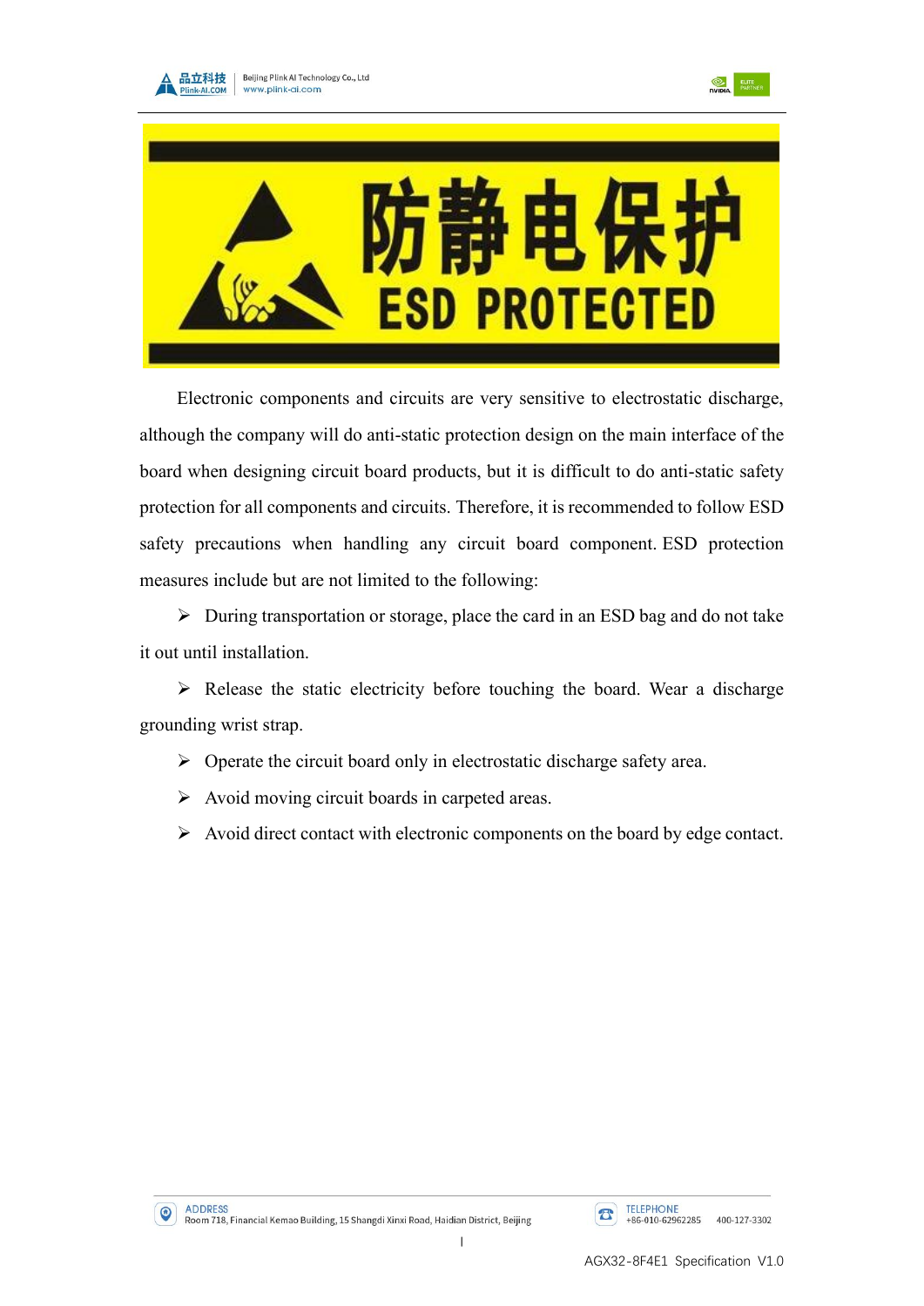





Electronic components and circuits are very sensitive to electrostatic discharge, although the company will do anti-static protection design on the main interface of the board when designing circuit board products, but it is difficult to do anti-static safety protection for all components and circuits. Therefore, it is recommended to follow ESD safety precautions when handling any circuit board component. ESD protection measures include but are not limited to the following:

➢ During transportation or storage, place the card in an ESD bag and do not take it out until installation.

➢ Release the static electricity before touching the board. Wear a discharge grounding wrist strap.

- ➢ Operate the circuit board only in electrostatic discharge safety area.
- ➢ Avoid moving circuit boards in carpeted areas.
- ➢ Avoid direct contact with electronic components on the board by edge contact.



I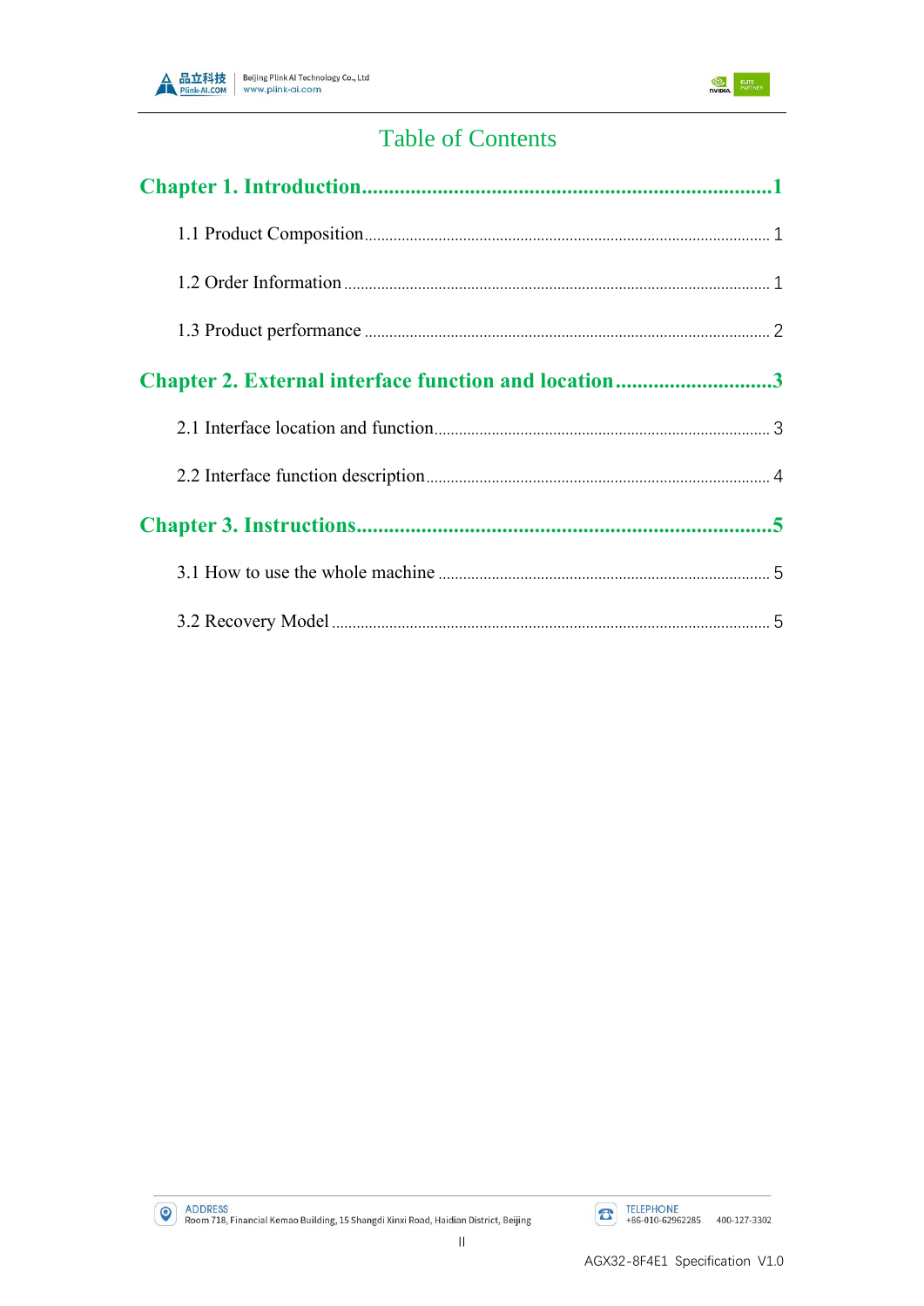



# **Table of Contents**

| Chapter 2. External interface function and location3 |  |
|------------------------------------------------------|--|
|                                                      |  |
|                                                      |  |
|                                                      |  |
|                                                      |  |
|                                                      |  |
|                                                      |  |

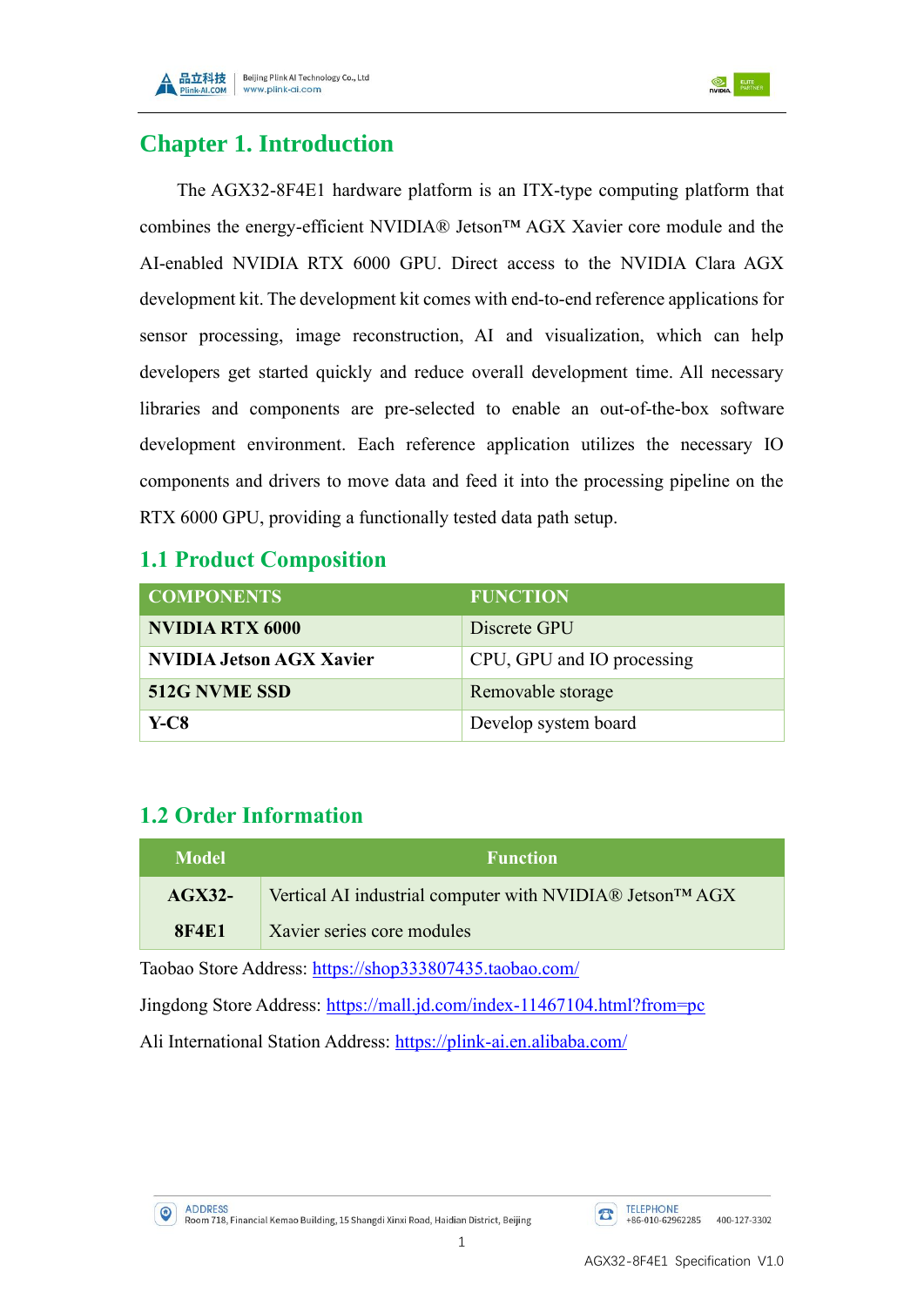

## <span id="page-3-0"></span>**Chapter 1. Introduction**

The AGX32-8F4E1 hardware platform is an ITX-type computing platform that combines the energy-efficient NVIDIA® Jetson™ AGX Xavier core module and the AI-enabled NVIDIA RTX 6000 GPU. Direct access to the NVIDIA Clara AGX development kit. The development kit comes with end-to-end reference applications for sensor processing, image reconstruction, AI and visualization, which can help developers get started quickly and reduce overall development time. All necessary libraries and components are pre-selected to enable an out-of-the-box software development environment. Each reference application utilizes the necessary IO components and drivers to move data and feed it into the processing pipeline on the RTX 6000 GPU, providing a functionally tested data path setup.

#### <span id="page-3-1"></span>**1.1 Product Composition**

| <b>COMPONENTS</b>               | <b>FUNCTION</b>            |
|---------------------------------|----------------------------|
| <b>NVIDIA RTX 6000</b>          | Discrete GPU               |
| <b>NVIDIA Jetson AGX Xavier</b> | CPU, GPU and IO processing |
| 512G NVME SSD                   | Removable storage          |
| <b>Y-C8</b>                     | Develop system board       |

## <span id="page-3-2"></span>**1.2 Order Information**

| Model        | <b>Function</b>                                                       |  |  |
|--------------|-----------------------------------------------------------------------|--|--|
| $AGX32-$     | Vertical AI industrial computer with NVIDIA® Jetson <sup>TM</sup> AGX |  |  |
| <b>8F4E1</b> | Xavier series core modules                                            |  |  |

Taobao Store Address: <https://shop333807435.taobao.com/>

Jingdong Store Address: <https://mall.jd.com/index-11467104.html?from=pc>

Ali International Station Address: <https://plink-ai.en.alibaba.com/>

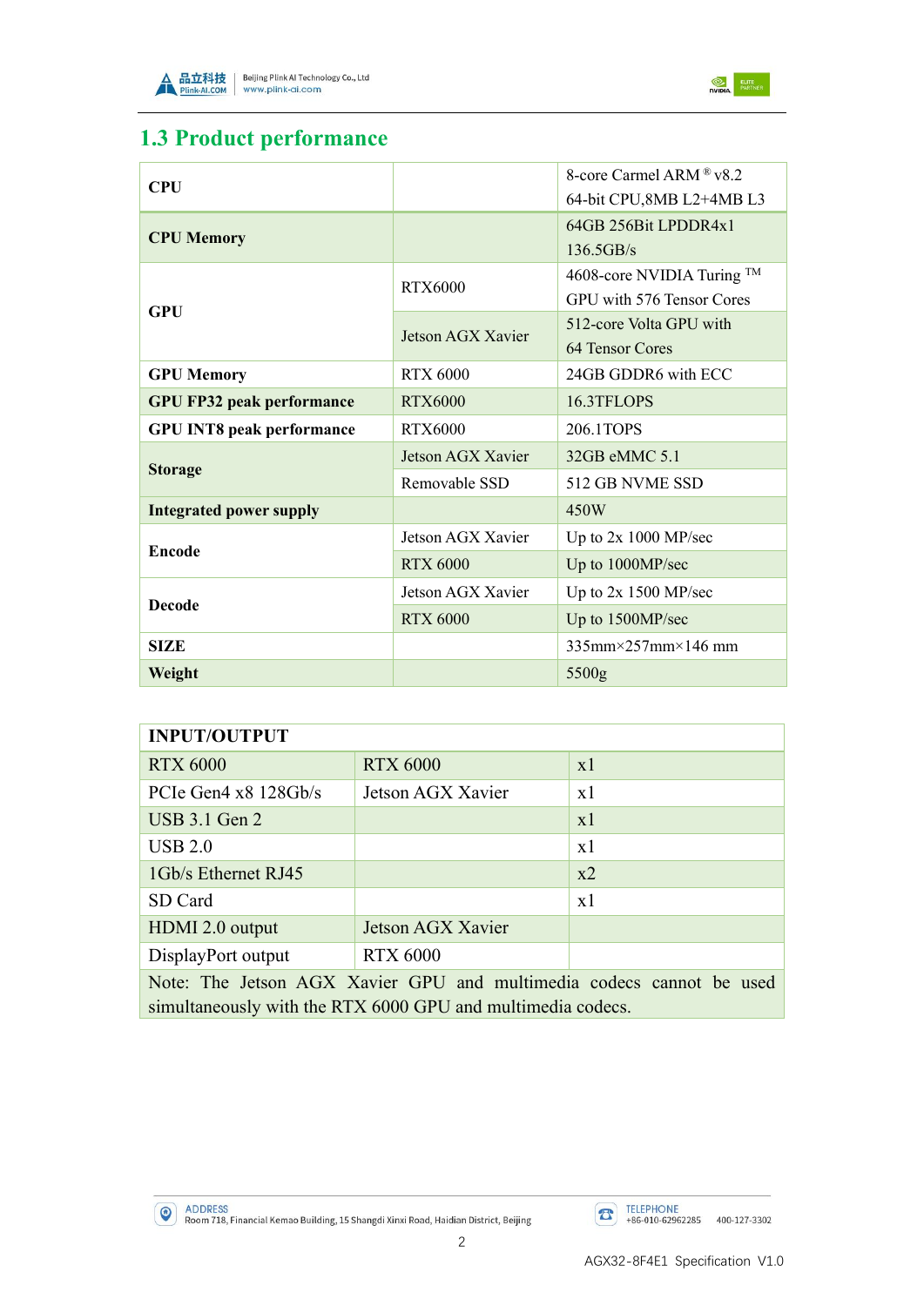



## <span id="page-4-0"></span>**1.3 Product performance**

| <b>CPU</b>                       |                   | 8-core Carmel ARM $\&$ v8.2             |
|----------------------------------|-------------------|-----------------------------------------|
|                                  |                   | 64-bit CPU,8MB L2+4MB L3                |
| <b>CPU Memory</b>                |                   | 64GB 256Bit LPDDR4x1                    |
|                                  |                   | 136.5GB/s                               |
|                                  | RTX6000           | 4608-core NVIDIA Turing ™               |
| <b>GPU</b>                       |                   | GPU with 576 Tensor Cores               |
|                                  | Jetson AGX Xavier | 512-core Volta GPU with                 |
|                                  |                   | 64 Tensor Cores                         |
| <b>GPU Memory</b>                | <b>RTX 6000</b>   | 24GB GDDR6 with ECC                     |
| <b>GPU FP32 peak performance</b> | <b>RTX6000</b>    | 16.3TFLOPS                              |
| <b>GPU INT8 peak performance</b> | <b>RTX6000</b>    | 206.1TOPS                               |
|                                  | Jetson AGX Xavier | 32GB eMMC 5.1                           |
| <b>Storage</b>                   | Removable SSD     | 512 GB NVME SSD                         |
| <b>Integrated power supply</b>   |                   | 450W                                    |
| Encode                           | Jetson AGX Xavier | Up to $2x 1000 MP/sec$                  |
|                                  | <b>RTX 6000</b>   | Up to 1000MP/sec                        |
|                                  | Jetson AGX Xavier | Up to $2x$ 1500 MP/sec                  |
| <b>Decode</b>                    | <b>RTX 6000</b>   | Up to 1500MP/sec                        |
| <b>SIZE</b>                      |                   | $335$ mm $\times$ 257mm $\times$ 146 mm |
| Weight                           |                   | 5500g                                   |

| <b>INPUT/OUTPUT</b>                                                                                                                 |                   |       |  |
|-------------------------------------------------------------------------------------------------------------------------------------|-------------------|-------|--|
| <b>RTX 6000</b>                                                                                                                     | <b>RTX 6000</b>   | x1    |  |
| PCIe Gen $4 \times 8$ 128Gb/s                                                                                                       | Jetson AGX Xavier | x1    |  |
| <b>USB 3.1 Gen 2</b>                                                                                                                |                   | x1    |  |
| USB 2.0                                                                                                                             |                   | x1    |  |
| 1Gb/s Ethernet RJ45                                                                                                                 |                   | $x^2$ |  |
| SD Card                                                                                                                             |                   | x1    |  |
| HDMI 2.0 output                                                                                                                     | Jetson AGX Xavier |       |  |
| DisplayPort output                                                                                                                  | <b>RTX 6000</b>   |       |  |
| Note: The Jetson AGX Xavier GPU and multimedia codecs cannot be used<br>simultaneously with the RTX 6000 GPU and multimedia codecs. |                   |       |  |

ADDRESS<br>Room 718, Financial Kemao Building, 15 Shangdi Xinxi Road, Haidian District, Beijing

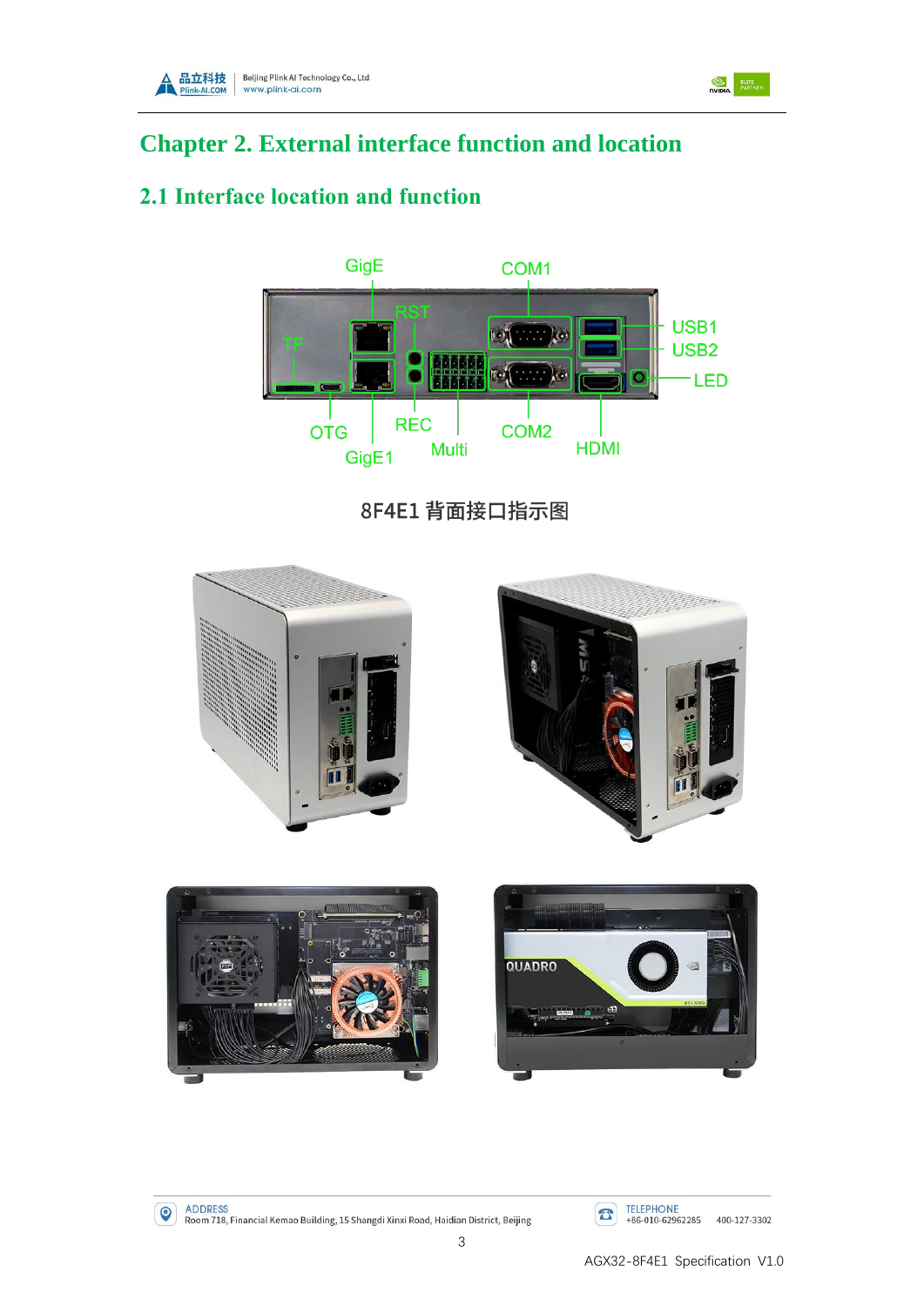

<span id="page-5-0"></span>

### <span id="page-5-1"></span>**2.1 Interface location and function**



8F4E1 背面接口指示图















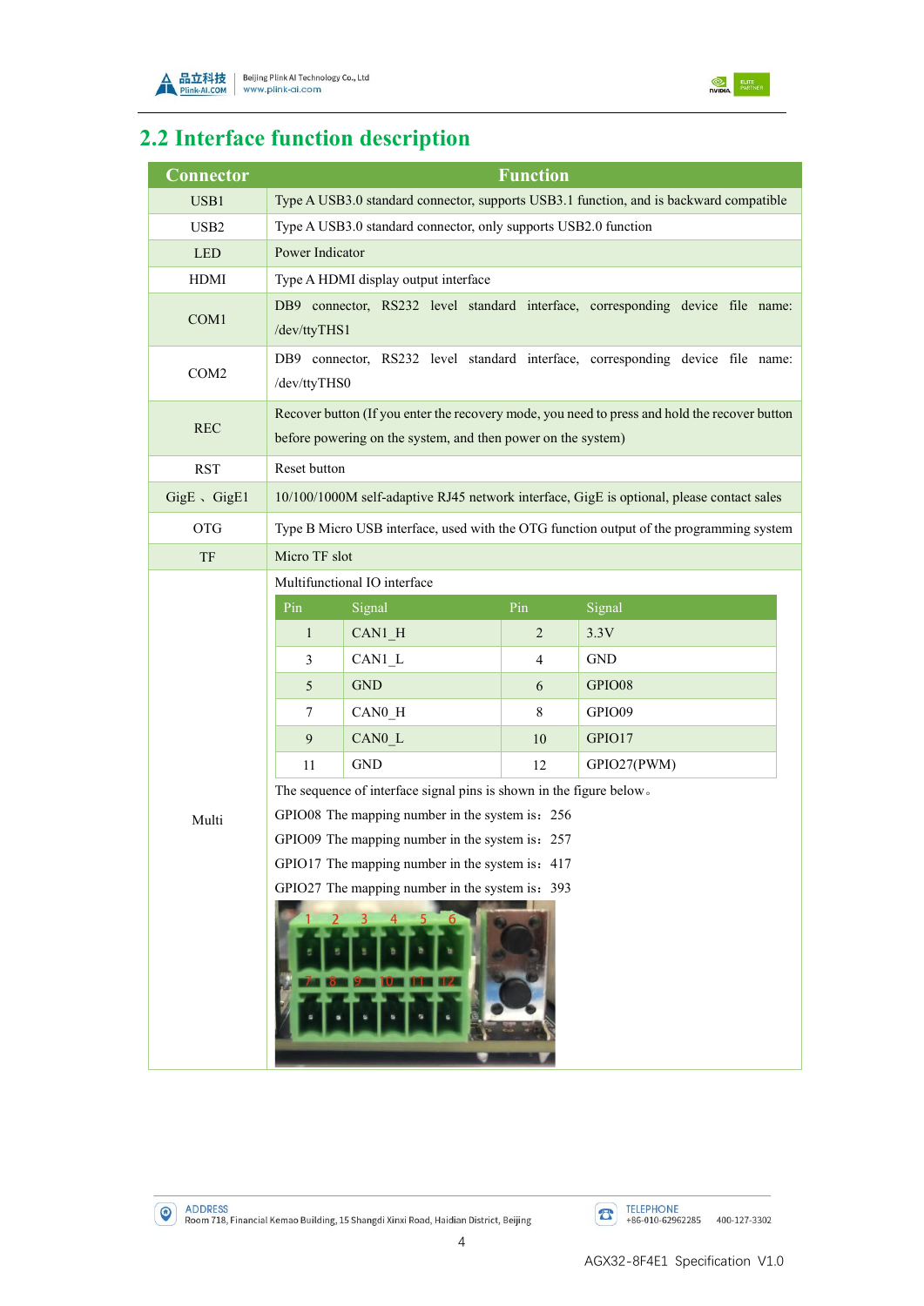



# <span id="page-6-0"></span>**2.2 Interface function description**

| Connector              |                                                                                                                                                                                                                                                                                                                                                                                                                                                                                                                                                                                                 |                                                                 | <b>Function</b> |                                                                                        |
|------------------------|-------------------------------------------------------------------------------------------------------------------------------------------------------------------------------------------------------------------------------------------------------------------------------------------------------------------------------------------------------------------------------------------------------------------------------------------------------------------------------------------------------------------------------------------------------------------------------------------------|-----------------------------------------------------------------|-----------------|----------------------------------------------------------------------------------------|
| USB1                   |                                                                                                                                                                                                                                                                                                                                                                                                                                                                                                                                                                                                 |                                                                 |                 | Type A USB3.0 standard connector, supports USB3.1 function, and is backward compatible |
| USB <sub>2</sub>       |                                                                                                                                                                                                                                                                                                                                                                                                                                                                                                                                                                                                 | Type A USB3.0 standard connector, only supports USB2.0 function |                 |                                                                                        |
| <b>LED</b>             | Power Indicator                                                                                                                                                                                                                                                                                                                                                                                                                                                                                                                                                                                 |                                                                 |                 |                                                                                        |
| <b>HDMI</b>            |                                                                                                                                                                                                                                                                                                                                                                                                                                                                                                                                                                                                 | Type A HDMI display output interface                            |                 |                                                                                        |
| COM1                   | DB9 connector, RS232 level standard interface, corresponding device file name:<br>/dev/ttyTHS1                                                                                                                                                                                                                                                                                                                                                                                                                                                                                                  |                                                                 |                 |                                                                                        |
| COM <sub>2</sub>       | DB9 connector, RS232 level standard interface, corresponding device file name:<br>/dev/ttyTHS0                                                                                                                                                                                                                                                                                                                                                                                                                                                                                                  |                                                                 |                 |                                                                                        |
| <b>REC</b>             | Recover button (If you enter the recovery mode, you need to press and hold the recover button<br>before powering on the system, and then power on the system)                                                                                                                                                                                                                                                                                                                                                                                                                                   |                                                                 |                 |                                                                                        |
| <b>RST</b>             | Reset button                                                                                                                                                                                                                                                                                                                                                                                                                                                                                                                                                                                    |                                                                 |                 |                                                                                        |
| $GigE \setminus GigE1$ | 10/100/1000M self-adaptive RJ45 network interface, GigE is optional, please contact sales                                                                                                                                                                                                                                                                                                                                                                                                                                                                                                       |                                                                 |                 |                                                                                        |
| <b>OTG</b>             | Type B Micro USB interface, used with the OTG function output of the programming system                                                                                                                                                                                                                                                                                                                                                                                                                                                                                                         |                                                                 |                 |                                                                                        |
| TF                     | Micro TF slot                                                                                                                                                                                                                                                                                                                                                                                                                                                                                                                                                                                   |                                                                 |                 |                                                                                        |
| Multi                  | Multifunctional IO interface<br>Pin<br>Signal<br>Signal<br>Pin<br>3.3V<br>$\mathbf{1}$<br>$\overline{2}$<br>$CAN1_H$<br><b>GND</b><br>$CAN1_L$<br>3<br>4<br><b>GND</b><br>GPIO08<br>5<br>6<br>CAN <sub>0_H</sub><br>GPIO09<br>8<br>7<br>9<br>CAN0 L<br>GPIO17<br>10<br><b>GND</b><br>GPIO27(PWM)<br>11<br>12<br>The sequence of interface signal pins is shown in the figure below.<br>GPIO08 The mapping number in the system is: 256<br>GPIO09 The mapping number in the system is: 257<br>GPIO17 The mapping number in the system is: 417<br>GPIO27 The mapping number in the system is: 393 |                                                                 |                 |                                                                                        |

ADDRESS<br>Room 718, Financial Kemao Building, 15 Shangdi Xinxi Road, Haidian District, Beijing